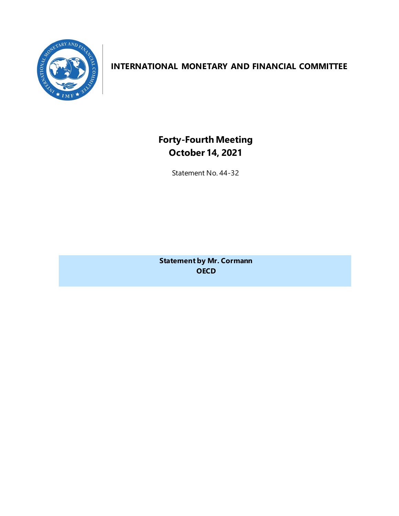

## **INTERNATIONAL MONETARY AND FINANCIAL COMMITTEE**

**Forty-Fourth Meeting October 14, 2021**

Statement No. 44-32

**Statement by Mr. Cormann OECD**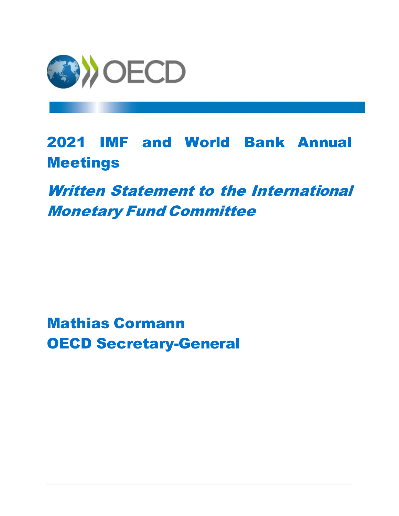

2021 IMF and World Bank Annual Meetings

Written Statement to the International Monetary Fund Committee

Mathias Cormann OECD Secretary-General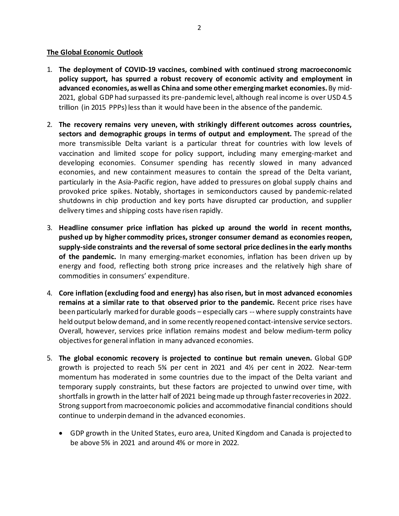## **The Global Economic Outlook**

- 1. **The deployment of COVID-19 vaccines, combined with continued strong macroeconomic policy support, has spurred a robust recovery of economic activity and employment in advanced economies, as well as China and some other emerging market economies.** By mid-2021, global GDP had surpassed its pre-pandemic level, although real income is over USD 4.5 trillion (in 2015 PPPs) less than it would have been in the absence of the pandemic.
- 2. **The recovery remains very uneven, with strikingly different outcomes across countries, sectors and demographic groups in terms of output and employment.** The spread of the more transmissible Delta variant is a particular threat for countries with low levels of vaccination and limited scope for policy support, including many emerging-market and developing economies. Consumer spending has recently slowed in many advanced economies, and new containment measures to contain the spread of the Delta variant, particularly in the Asia-Pacific region, have added to pressures on global supply chains and provoked price spikes. Notably, shortages in semiconductors caused by pandemic-related shutdowns in chip production and key ports have disrupted car production, and supplier delivery times and shipping costs have risen rapidly.
- 3. **Headline consumer price inflation has picked up around the world in recent months, pushed up by higher commodity prices, stronger consumer demand as economies reopen, supply-side constraints and the reversal of some sectoral price declines in the early months of the pandemic.** In many emerging-market economies, inflation has been driven up by energy and food, reflecting both strong price increases and the relatively high share of commodities in consumers' expenditure.
- 4. **Core inflation (excluding food and energy) has also risen, but in most advanced economies remains at a similar rate to that observed prior to the pandemic.** Recent price rises have been particularly marked for durable goods – especially cars -- where supply constraints have held output below demand, and in some recently reopened contact-intensive service sectors. Overall, however, services price inflation remains modest and below medium-term policy objectives for general inflation in many advanced economies.
- 5. **The global economic recovery is projected to continue but remain uneven.** Global GDP growth is projected to reach  $5\frac{1}{2}$  per cent in 2021 and  $4\frac{1}{2}$  per cent in 2022. Near-term momentum has moderated in some countries due to the impact of the Delta variant and temporary supply constraints, but these factors are projected to unwind over time, with shortfalls in growth in the latter half of 2021 being made up through faster recoveries in 2022. Strong support from macroeconomic policies and accommodative financial conditions should continue to underpin demand in the advanced economies.
	- GDP growth in the United States, euro area, United Kingdom and Canada is projected to be above 5% in 2021 and around 4% or more in 2022.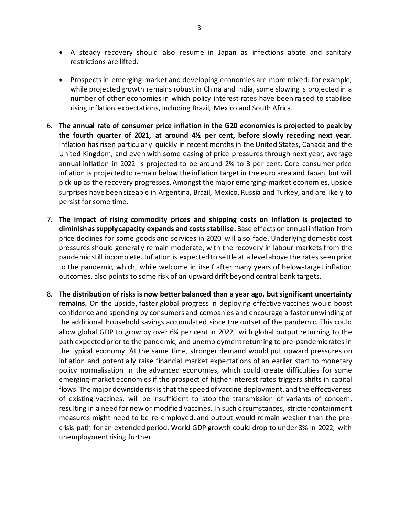- A steady recovery should also resume in Japan as infections abate and sanitary restrictions are lifted.
- Prospects in emerging-market and developing economies are more mixed: for example, while projected growth remains robust in China and India, some slowing is projected in a number of other economies in which policy interest rates have been raised to stabilise rising inflation expectations, including Brazil, Mexico and South Africa.
- 6. **The annual rate of consumer price inflation in the G20 economies is projected to peak by the fourth quarter of 2021, at around 4½ per cent, before slowly receding next year.** Inflation has risen particularly quickly in recent months in the United States, Canada and the United Kingdom, and even with some easing of price pressures through next year, average annual inflation in 2022 is projected to be around 2¾ to 3 per cent. Core consumer price inflation is projected to remain below the inflation target in the euro area and Japan, but will pick up as the recovery progresses. Amongst the major emerging-market economies, upside surprises have been sizeable in Argentina, Brazil, Mexico, Russia and Turkey, and are likely to persist for some time.
- 7. **The impact of rising commodity prices and shipping costs on inflation is projected to diminish as supply capacity expands and costs stabilise.** Base effects on annual inflation from price declines for some goods and services in 2020 will also fade. Underlying domestic cost pressures should generally remain moderate, with the recovery in labour markets from the pandemic still incomplete. Inflation is expected to settle at a level above the rates seen prior to the pandemic, which, while welcome in itself after many years of below-target inflation outcomes, also points to some risk of an upward drift beyond central bank targets.
- 8. **The distribution of risks is now better balanced than a year ago, but significant uncertainty remains.** On the upside, faster global progress in deploying effective vaccines would boost confidence and spending by consumers and companies and encourage a faster unwinding of the additional household savings accumulated since the outset of the pandemic. This could allow global GDP to grow by over 6¼ per cent in 2022, with global output returning to the path expected prior to the pandemic, and unemployment returning to pre-pandemic rates in the typical economy. At the same time, stronger demand would put upward pressures on inflation and potentially raise financial market expectations of an earlier start to monetary policy normalisation in the advanced economies, which could create difficulties for some emerging-market economies if the prospect of higher interest rates triggers shifts in capital flows. The major downside risk is that the speed of vaccine deployment, and the effectiveness of existing vaccines, will be insufficient to stop the transmission of variants of concern, resulting in a need for new or modified vaccines. In such circumstances, stricter containment measures might need to be re-employed, and output would remain weaker than the precrisis path for an extended period. World GDP growth could drop to under 3% in 2022, with unemployment rising further.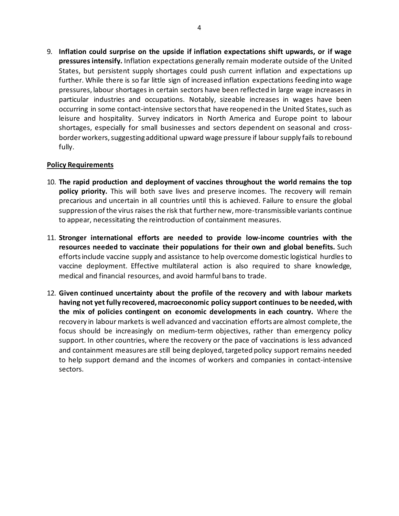9. **Inflation could surprise on the upside if inflation expectations shift upwards, or if wage pressures intensify.** Inflation expectations generally remain moderate outside of the United States, but persistent supply shortages could push current inflation and expectations up further. While there is so far little sign of increased inflation expectations feeding into wage pressures, labour shortages in certain sectors have been reflected in large wage increases in particular industries and occupations. Notably, sizeable increases in wages have been occurring in some contact-intensive sectors that have reopened in the United States, such as leisure and hospitality. Survey indicators in North America and Europe point to labour shortages, especially for small businesses and sectors dependent on seasonal and crossborder workers, suggesting additional upward wage pressure if labour supply fails to rebound fully.

## **Policy Requirements**

- 10. **The rapid production and deployment of vaccines throughout the world remains the top policy priority.** This will both save lives and preserve incomes. The recovery will remain precarious and uncertain in all countries until this is achieved. Failure to ensure the global suppression of the virus raises the risk that further new, more-transmissible variants continue to appear, necessitating the reintroduction of containment measures.
- 11. **Stronger international efforts are needed to provide low-income countries with the resources needed to vaccinate their populations for their own and global benefits.** Such efforts include vaccine supply and assistance to help overcome domestic logistical hurdles to vaccine deployment. Effective multilateral action is also required to share knowledge, medical and financial resources, and avoid harmful bans to trade.
- 12. **Given continued uncertainty about the profile of the recovery and with labour markets having not yet fully recovered, macroeconomic policy support continues to be needed, with the mix of policies contingent on economic developments in each country.** Where the recovery in labour markets is well advanced and vaccination efforts are almost complete, the focus should be increasingly on medium-term objectives, rather than emergency policy support. In other countries, where the recovery or the pace of vaccinations is less advanced and containment measures are still being deployed, targeted policy support remains needed to help support demand and the incomes of workers and companies in contact-intensive sectors.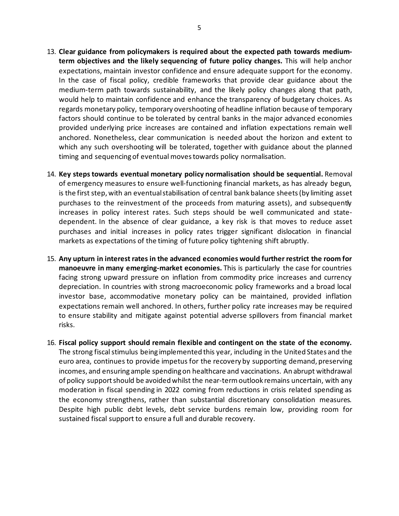- 13. **Clear guidance from policymakers is required about the expected path towards mediumterm objectives and the likely sequencing of future policy changes.** This will help anchor expectations, maintain investor confidence and ensure adequate support for the economy. In the case of fiscal policy, credible frameworks that provide clear guidance about the medium-term path towards sustainability, and the likely policy changes along that path, would help to maintain confidence and enhance the transparency of budgetary choices. As regards monetary policy, temporary overshooting of headline inflation because of temporary factors should continue to be tolerated by central banks in the major advanced economies provided underlying price increases are contained and inflation expectations remain well anchored. Nonetheless, clear communication is needed about the horizon and extent to which any such overshooting will be tolerated, together with guidance about the planned timing and sequencing of eventual moves towards policy normalisation.
- 14. **Key steps towards eventual monetary policy normalisation should be sequential.** Removal of emergency measures to ensure well-functioning financial markets, as has already begun, is the first step, with an eventual stabilisation of central bank balance sheets (by limiting asset purchases to the reinvestment of the proceeds from maturing assets), and subsequently increases in policy interest rates. Such steps should be well communicated and statedependent. In the absence of clear guidance, a key risk is that moves to reduce asset purchases and initial increases in policy rates trigger significant dislocation in financial markets as expectations of the timing of future policy tightening shift abruptly.
- 15. **Any upturn in interest rates in the advanced economies would further restrict the room for manoeuvre in many emerging-market economies.** This is particularly the case for countries facing strong upward pressure on inflation from commodity price increases and currency depreciation. In countries with strong macroeconomic policy frameworks and a broad local investor base, accommodative monetary policy can be maintained, provided inflation expectations remain well anchored. In others, further policy rate increases may be required to ensure stability and mitigate against potential adverse spillovers from financial market risks.
- 16. **Fiscal policy support should remain flexible and contingent on the state of the economy.** The strong fiscal stimulus being implemented this year, including in the United States and the euro area, continues to provide impetus for the recovery by supporting demand, preserving incomes, and ensuring ample spending on healthcare and vaccinations. An abrupt withdrawal of policy support should be avoided whilst the near-term outlook remains uncertain, with any moderation in fiscal spending in 2022 coming from reductions in crisis related spending as the economy strengthens, rather than substantial discretionary consolidation measures. Despite high public debt levels, debt service burdens remain low, providing room for sustained fiscal support to ensure a full and durable recovery.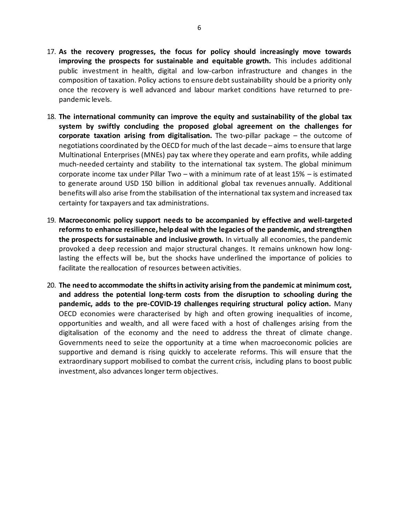- 17. **As the recovery progresses, the focus for policy should increasingly move towards improving the prospects for sustainable and equitable growth.** This includes additional public investment in health, digital and low-carbon infrastructure and changes in the composition of taxation. Policy actions to ensure debt sustainability should be a priority only once the recovery is well advanced and labour market conditions have returned to prepandemic levels.
- 18. **The international community can improve the equity and sustainability of the global tax system by swiftly concluding the proposed global agreement on the challenges for corporate taxation arising from digitalisation.** The two-pillar package – the outcome of negotiations coordinated by the OECD for much of the last decade – aims to ensure that large Multinational Enterprises (MNEs) pay tax where they operate and earn profits, while adding much-needed certainty and stability to the international tax system. The global minimum corporate income tax under Pillar Two – with a minimum rate of at least 15% – is estimated to generate around USD 150 billion in additional global tax revenues annually. Additional benefits will also arise from the stabilisation of the international tax system and increased tax certainty for taxpayers and tax administrations.
- 19. **Macroeconomic policy support needs to be accompanied by effective and well-targeted reforms to enhance resilience, help deal with the legacies of the pandemic, and strengthen the prospects for sustainable and inclusive growth.** In virtually all economies, the pandemic provoked a deep recession and major structural changes. It remains unknown how longlasting the effects will be, but the shocks have underlined the importance of policies to facilitate the reallocation of resources between activities.
- 20. **The need to accommodate the shifts in activity arising from the pandemic at minimum cost, and address the potential long-term costs from the disruption to schooling during the pandemic, adds to the pre-COVID-19 challenges requiring structural policy action.** Many OECD economies were characterised by high and often growing inequalities of income, opportunities and wealth, and all were faced with a host of challenges arising from the digitalisation of the economy and the need to address the threat of climate change. Governments need to seize the opportunity at a time when macroeconomic policies are supportive and demand is rising quickly to accelerate reforms. This will ensure that the extraordinary support mobilised to combat the current crisis, including plans to boost public investment, also advances longer term objectives.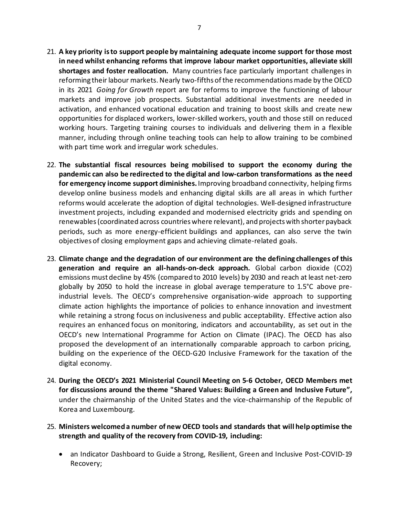- 21. **A key priority is to support people by maintaining adequate income support for those most in need whilst enhancing reforms that improve labour market opportunities, alleviate skill shortages and foster reallocation.** Many countries face particularly important challenges in reforming their labour markets. Nearly two-fifths of the recommendations made by the OECD in its 2021 *Going for Growth* report are for reforms to improve the functioning of labour markets and improve job prospects. Substantial additional investments are needed in activation, and enhanced vocational education and training to boost skills and create new opportunities for displaced workers, lower-skilled workers, youth and those still on reduced working hours. Targeting training courses to individuals and delivering them in a flexible manner, including through online teaching tools can help to allow training to be combined with part time work and irregular work schedules.
- 22. **The substantial fiscal resources being mobilised to support the economy during the pandemic can also be redirected to the digital and low-carbon transformations as the need for emergency income support diminishes.**Improving broadband connectivity, helping firms develop online business models and enhancing digital skills are all areas in which further reforms would accelerate the adoption of digital technologies. Well-designed infrastructure investment projects, including expanded and modernised electricity grids and spending on renewables (coordinated across countries where relevant), and projects with shorter payback periods, such as more energy-efficient buildings and appliances, can also serve the twin objectives of closing employment gaps and achieving climate-related goals.
- 23. **Climate change and the degradation of our environment are the defining challenges of this generation and require an all-hands-on-deck approach.** Global carbon dioxide (CO2) emissions must decline by 45% (compared to 2010 levels) by 2030 and reach at least net-zero globally by 2050 to hold the increase in global average temperature to 1.5°C above preindustrial levels. The OECD's comprehensive organisation-wide approach to supporting climate action highlights the importance of policies to enhance innovation and investment while retaining a strong focus on inclusiveness and public acceptability. Effective action also requires an enhanced focus on monitoring, indicators and accountability, as set out in the OECD's new International Programme for Action on Climate (IPAC). The OECD has also proposed the development of an internationally comparable approach to carbon pricing, building on the experience of the OECD-G20 Inclusive Framework for the taxation of the digital economy.
- 24. **During the OECD's 2021 Ministerial Council Meeting on 5-6 October, OECD Members met for discussions around the theme "Shared Values: Building a Green and Inclusive Future",**  under the chairmanship of the United States and the vice-chairmanship of the Republic of Korea and Luxembourg.
- 25. **Ministers welcomed a number of new OECD tools and standards that will help optimise the strength and quality of the recovery from COVID-19, including:** 
	- an Indicator Dashboard to Guide a Strong, Resilient, Green and Inclusive Post-COVID-19 Recovery;